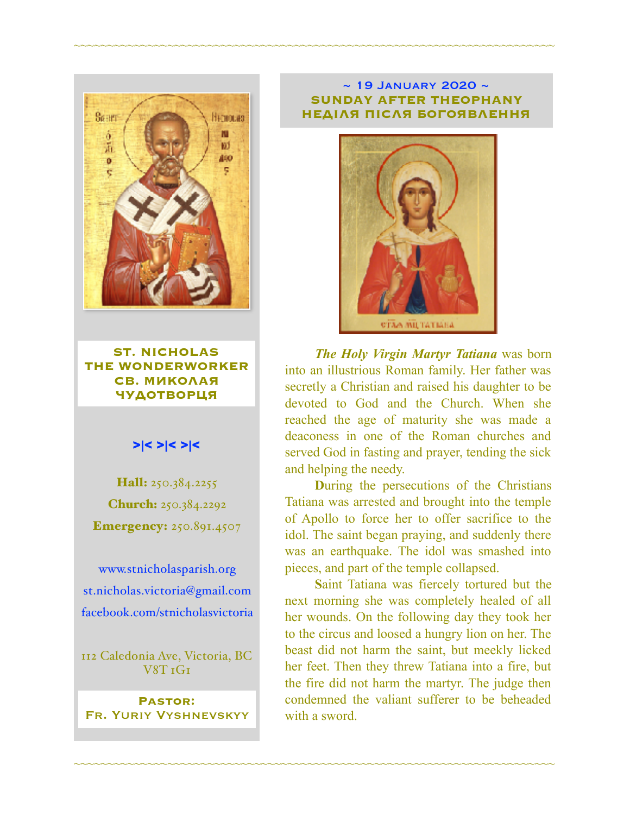

**ST. NICHOLAS THE WONDERWORKER СВ. МИКОЛАЯ ЧУДОТВОРЦЯ**

## >|< >|< >|<

Hall: 250.384.2255 Church: 250.384.2292 **Emergency: 250.891.4507** 

[www.stnicholasparish.org](http://www.stnicholasparish.org) [st.nicholas.victoria@gmail.com](mailto:st.nicholas.victoria@gmail.com) [facebook.com/stnicholasvictoria](http://facebook.com/stnicholasvictoria)

112 Caledonia Ave, Victoria, BC V8T 1G1

**Pastor:**  Fr. Yuriy Vyshnevskyy

#### $\sim$  19 JANUARY 2020  $\sim$ **SUNDAY AFTER THEOPHANY НЕДІЛЯ ПІСЛЯ БОГОЯВЛЕННЯ**

~~~~~~~~~~~~~~~~~~~~~~~~~~~~~~~~~~~~~~~~~~~~~~~~~~~~~~~~~~~~~~~~~~~~~~~~



*The Holy Virgin Martyr Tatiana* was born into an illustrious Roman family. Her father was secretly a Christian and raised his daughter to be devoted to God and the Church. When she reached the age of maturity she was made a deaconess in one of the Roman churches and served God in fasting and prayer, tending the sick and helping the needy.

**D**uring the persecutions of the Christians Tatiana was arrested and brought into the temple of Apollo to force her to offer sacrifice to the idol. The saint began praying, and suddenly there was an earthquake. The idol was smashed into pieces, and part of the temple collapsed.

**S**aint Tatiana was fiercely tortured but the next morning she was completely healed of all her wounds. On the following day they took her to the circus and loosed a hungry lion on her. The beast did not harm the saint, but meekly licked her feet. Then they threw Tatiana into a fire, but the fire did not harm the martyr. The judge then condemned the valiant sufferer to be beheaded with a sword.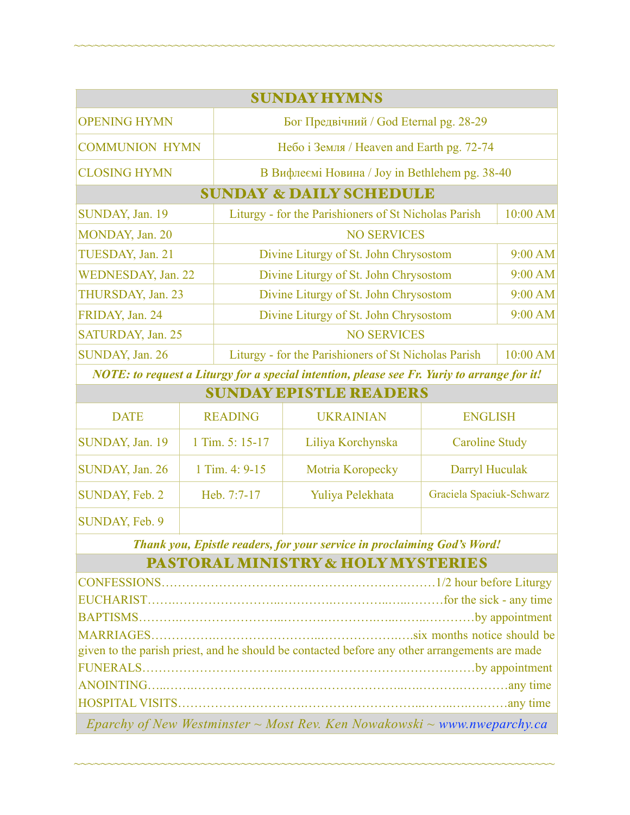| <b>SUNDAY HYMNS</b>                |                                                      |          |  |  |
|------------------------------------|------------------------------------------------------|----------|--|--|
| <b>OPENING HYMN</b>                | Бог Предвічний / God Eternal pg. 28-29               |          |  |  |
| <b>COMMUNION HYMN</b>              | Небо і Земля / Heaven and Earth pg. 72-74            |          |  |  |
| <b>CLOSING HYMN</b>                | В Вифлеємі Новина / Joy in Bethlehem pg. 38-40       |          |  |  |
| <b>SUNDAY &amp; DAILY SCHEDULE</b> |                                                      |          |  |  |
| SUNDAY, Jan. 19                    | Liturgy - for the Parishioners of St Nicholas Parish | 10:00 AM |  |  |
| MONDAY, Jan. 20                    | <b>NO SERVICES</b>                                   |          |  |  |
| TUESDAY, Jan. 21                   | Divine Liturgy of St. John Chrysostom                | 9:00 AM  |  |  |
| WEDNESDAY, Jan. 22                 | Divine Liturgy of St. John Chrysostom                | 9:00 AM  |  |  |
| THURSDAY, Jan. 23                  | Divine Liturgy of St. John Chrysostom                | 9:00 AM  |  |  |
| FRIDAY, Jan. 24                    | Divine Liturgy of St. John Chrysostom                | 9:00 AM  |  |  |
| SATURDAY, Jan. 25                  | <b>NO SERVICES</b>                                   |          |  |  |
| SUNDAY, Jan. 26                    | Liturgy - for the Parishioners of St Nicholas Parish | 10:00 AM |  |  |

~~~~~~~~~~~~~~~~~~~~~~~~~~~~~~~~~~~~~~~~~~~~~~~~~~~~~~~~~~~~~~~~~~~~~~~~

*NOTE: to request a Liturgy for a special intention, please see Fr. Yuriy to arrange for it!*  $\overline{\mathbf{S}}$   $\overline{\mathbf{S}}$   $\overline{\mathbf{S}}$   $\overline{\mathbf{S}}$   $\overline{\mathbf{S}}$   $\overline{\mathbf{S}}$   $\overline{\mathbf{S}}$   $\overline{\mathbf{S}}$   $\overline{\mathbf{S}}$   $\overline{\mathbf{S}}$   $\overline{\mathbf{S}}$   $\overline{\mathbf{S}}$   $\overline{\mathbf{S}}$   $\overline{\mathbf{S}}$   $\overline{\mathbf{S}}$   $\overline{\mathbf{S}}$   $\overline{\mathbf{S}}$   $\overline{\mathbf{S}}$   $\overline{\$ 

| NUNDAY BENTELEKBADBRY |                 |                   |                          |  |
|-----------------------|-----------------|-------------------|--------------------------|--|
| <b>DATE</b>           | <b>READING</b>  | <b>UKRAINIAN</b>  | <b>ENGLISH</b>           |  |
| SUNDAY, Jan. 19       | 1 Tim. 5: 15-17 | Liliya Korchynska | <b>Caroline Study</b>    |  |
| SUNDAY, Jan. 26       | 1 Tim. 4: 9-15  | Motria Koropecky  | Darryl Huculak           |  |
| SUNDAY, Feb. 2        | Heb. 7:7-17     | Yuliya Pelekhata  | Graciela Spaciuk-Schwarz |  |
| SUNDAY, Feb. 9        |                 |                   |                          |  |

*Thank you, Epistle readers, for your service in proclaiming God's Word!*

# PASTORAL MINISTRY & HOLY MYSTERIES

| given to the parish priest, and he should be contacted before any other arrangements are made |  |  |
|-----------------------------------------------------------------------------------------------|--|--|
|                                                                                               |  |  |
|                                                                                               |  |  |
|                                                                                               |  |  |
| Eparchy of New Westminster $\sim$ Most Rev. Ken Nowakowski $\sim$ www.nweparchy.ca            |  |  |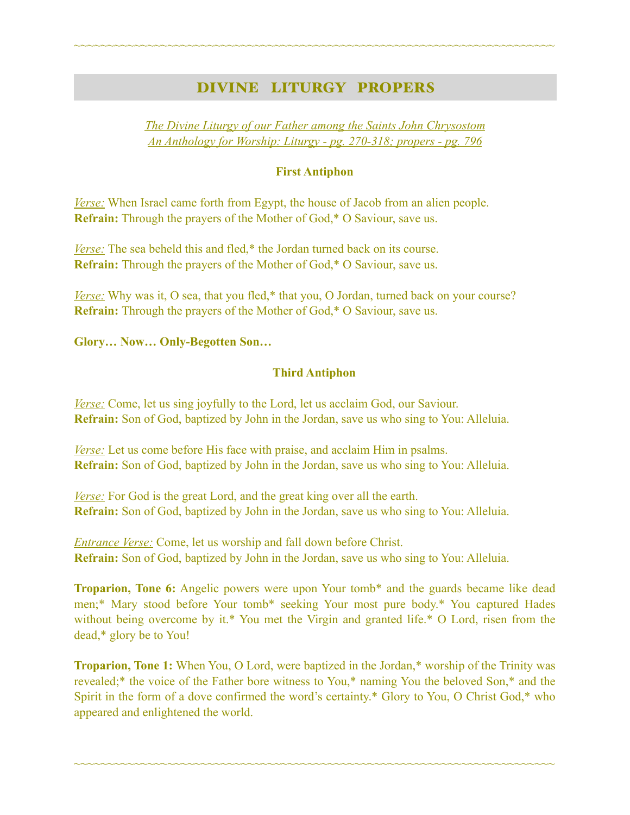## DIVINE LITURGY PROPERS

~~~~~~~~~~~~~~~~~~~~~~~~~~~~~~~~~~~~~~~~~~~~~~~~~~~~~~~~~~~~~~~~~~~~~~~~

*The Divine Liturgy of our Father among the Saints John Chrysostom An Anthology for Worship: Liturgy - pg. 270-318; propers - pg. 796* 

## **First Antiphon**

*Verse:* When Israel came forth from Egypt, the house of Jacob from an alien people. **Refrain:** Through the prayers of the Mother of God,\* O Saviour, save us.

*Verse:* The sea beheld this and fled,\* the Jordan turned back on its course. **Refrain:** Through the prayers of the Mother of God,\* O Saviour, save us.

*Verse:* Why was it, O sea, that you fled,\* that you, O Jordan, turned back on your course? **Refrain:** Through the prayers of the Mother of God,\* O Saviour, save us.

**Glory… Now… Only-Begotten Son…** 

### **Third Antiphon**

*Verse:* Come, let us sing joyfully to the Lord, let us acclaim God, our Saviour. **Refrain:** Son of God, baptized by John in the Jordan, save us who sing to You: Alleluia.

*Verse:* Let us come before His face with praise, and acclaim Him in psalms. **Refrain:** Son of God, baptized by John in the Jordan, save us who sing to You: Alleluia.

*Verse:* For God is the great Lord, and the great king over all the earth. **Refrain:** Son of God, baptized by John in the Jordan, save us who sing to You: Alleluia.

*Entrance Verse:* Come, let us worship and fall down before Christ. **Refrain:** Son of God, baptized by John in the Jordan, save us who sing to You: Alleluia.

**Troparion, Tone 6:** Angelic powers were upon Your tomb\* and the guards became like dead men;\* Mary stood before Your tomb\* seeking Your most pure body.\* You captured Hades without being overcome by it.\* You met the Virgin and granted life.\* O Lord, risen from the dead,\* glory be to You!

**Troparion, Tone 1:** When You, O Lord, were baptized in the Jordan,\* worship of the Trinity was revealed;\* the voice of the Father bore witness to You,\* naming You the beloved Son,\* and the Spirit in the form of a dove confirmed the word's certainty.\* Glory to You, O Christ God,\* who appeared and enlightened the world.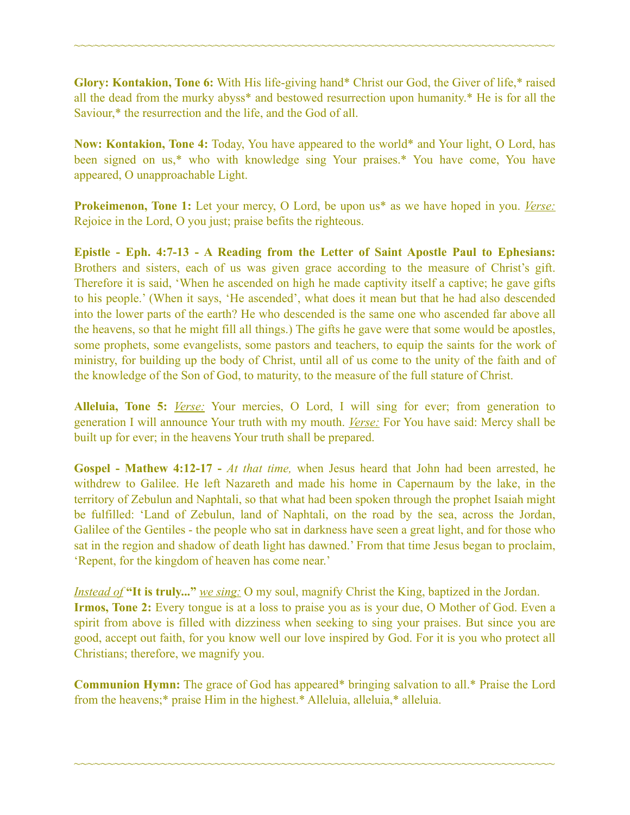**Glory: Kontakion, Tone 6:** With His life-giving hand\* Christ our God, the Giver of life,\* raised all the dead from the murky abyss\* and bestowed resurrection upon humanity.\* He is for all the Saviour,\* the resurrection and the life, and the God of all.

~~~~~~~~~~~~~~~~~~~~~~~~~~~~~~~~~~~~~~~~~~~~~~~~~~~~~~~~~~~~~~~~~~~~~~~~

**Now: Kontakion, Tone 4:** Today, You have appeared to the world\* and Your light, O Lord, has been signed on us,\* who with knowledge sing Your praises.\* You have come, You have appeared, O unapproachable Light.

**Prokeimenon, Tone 1:** Let your mercy, O Lord, be upon us\* as we have hoped in you. *Verse:* Rejoice in the Lord, O you just; praise befits the righteous.

**Epistle - Eph. 4:7-13 - A Reading from the Letter of Saint Apostle Paul to Ephesians:** Brothers and sisters, each of us was given grace according to the measure of Christ's gift. Therefore it is said, 'When he ascended on high he made captivity itself a captive; he gave gifts to his people.' (When it says, 'He ascended', what does it mean but that he had also descended into the lower parts of the earth? He who descended is the same one who ascended far above all the heavens, so that he might fill all things.) The gifts he gave were that some would be apostles, some prophets, some evangelists, some pastors and teachers, to equip the saints for the work of ministry, for building up the body of Christ, until all of us come to the unity of the faith and of the knowledge of the Son of God, to maturity, to the measure of the full stature of Christ.

**Alleluia, Tone 5:** *Verse:* Your mercies, O Lord, I will sing for ever; from generation to generation I will announce Your truth with my mouth. *Verse:* For You have said: Mercy shall be built up for ever; in the heavens Your truth shall be prepared.

**Gospel - Mathew 4:12-17 -** *At that time,* when Jesus heard that John had been arrested, he withdrew to Galilee. He left Nazareth and made his home in Capernaum by the lake, in the territory of Zebulun and Naphtali, so that what had been spoken through the prophet Isaiah might be fulfilled: 'Land of Zebulun, land of Naphtali, on the road by the sea, across the Jordan, Galilee of the Gentiles - the people who sat in darkness have seen a great light, and for those who sat in the region and shadow of death light has dawned.' From that time Jesus began to proclaim, 'Repent, for the kingdom of heaven has come near.'

*Instead of* **"It is truly..."** *we sing:* O my soul, magnify Christ the King, baptized in the Jordan. **Irmos, Tone 2:** Every tongue is at a loss to praise you as is your due, O Mother of God. Even a spirit from above is filled with dizziness when seeking to sing your praises. But since you are good, accept out faith, for you know well our love inspired by God. For it is you who protect all Christians; therefore, we magnify you.

**Communion Hymn:** The grace of God has appeared\* bringing salvation to all.\* Praise the Lord from the heavens;\* praise Him in the highest.\* Alleluia, alleluia,\* alleluia.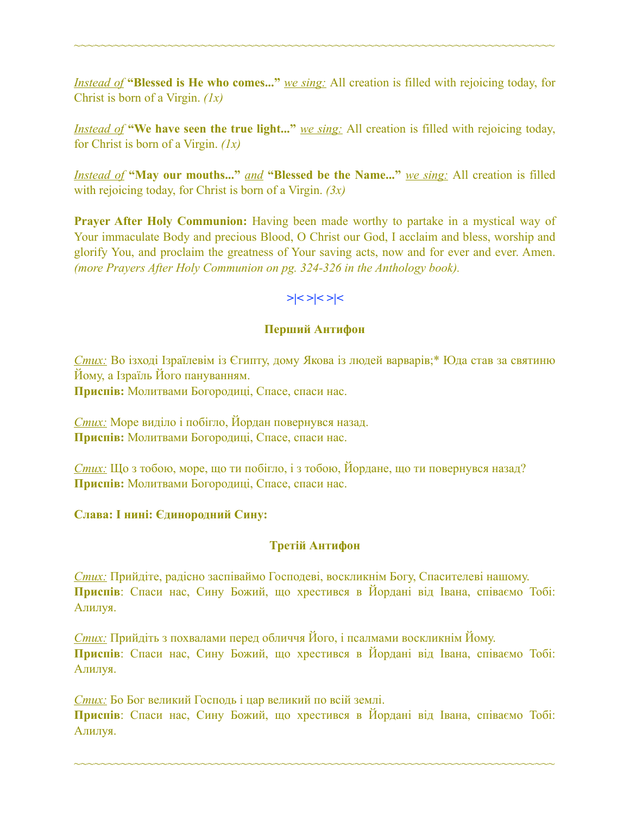*Instead of* **"Blessed is He who comes..."** *we sing:* All creation is filled with rejoicing today, for Christ is born of a Virgin. *(1х)* 

~~~~~~~~~~~~~~~~~~~~~~~~~~~~~~~~~~~~~~~~~~~~~~~~~~~~~~~~~~~~~~~~~~~~~~~~

*Instead of* **"We have seen the true light..."** *we sing:* All creation is filled with rejoicing today, for Christ is born of a Virgin. *(1х)* 

*Instead of* **"May our mouths..."** *and* **"Blessed be the Name..."** *we sing:* All creation is filled with rejoicing today, for Christ is born of a Virgin. *(3x)* 

**Prayer After Holy Communion:** Having been made worthy to partake in a mystical way of Your immaculate Body and precious Blood, O Christ our God, I acclaim and bless, worship and glorify You, and proclaim the greatness of Your saving acts, now and for ever and ever. Amen. *(more Prayers After Holy Communion on pg. 324-326 in the Anthology book).* 

## **>|< >|< >|<**

### **Перший Антифон**

*Стих:* Во ізході Ізраїлевім із Єгипту, дому Якова із людей варварів;\* Юда став за святиню Йому, а Ізраїль Його пануванням. **Приспів:** Молитвами Богородиці, Спасе, спаси нас.

*Стих:* Море виділо і побігло, Йордан повернувся назад. **Приспів:** Молитвами Богородиці, Спасе, спаси нас.

*Стих:* Що з тобою, море, що ти побігло, і з тобою, Йордане, що ти повернувся назад? **Приспів:** Молитвами Богородиці, Спасе, спаси нас.

#### **Слава: І нині: Єдинородний Сину:**

## **Третій Антифон**

*Стих:* Прийдіте, радісно заспіваймо Господеві, воскликнім Богу, Спасителеві нашому. **Приспів**: Спаси нас, Сину Божий, що хрестився в Йордані від Івана, співаємо Тобі: Алилуя.

*Стих:* Прийдіть з похвалами перед обличчя Його, і псалмами воскликнім Йому. **Приспів**: Спаси нас, Сину Божий, що хрестився в Йордані від Івана, співаємо Тобі: Алилуя.

*Стих:* Бо Бог великий Господь і цар великий по всій землі. **Приспів**: Спаси нас, Сину Божий, що хрестився в Йордані від Івана, співаємо Тобі: Алилуя.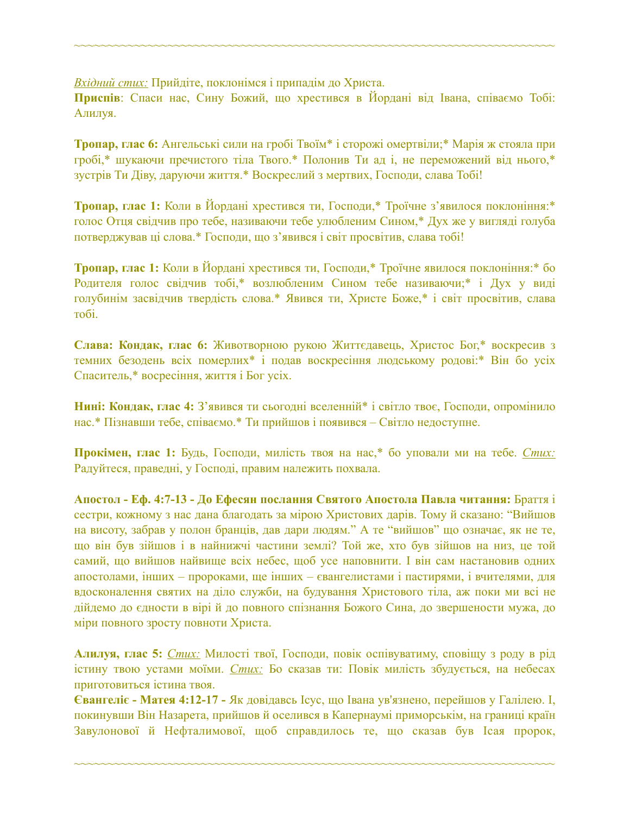*Вхідний стих:* Прийдіте, поклонімся і припадім до Христа.

**Приспів**: Спаси нас, Сину Божий, що хрестився в Йордані від Івана, співаємо Тобі: Алилуя.

~~~~~~~~~~~~~~~~~~~~~~~~~~~~~~~~~~~~~~~~~~~~~~~~~~~~~~~~~~~~~~~~~~~~~~~~

**Тропар, глас 6:** Ангельські сили на гробі Твоїм\* і сторожі омертвіли;\* Марія ж стояла при гробі,\* шукаючи пречистого тіла Твого.\* Полонив Ти ад і, не переможений від нього,\* зустрів Ти Діву, даруючи життя.\* Воскреслий з мертвих, Господи, слава Тобі!

**Тропар, глас 1:** Коли в Йордані хрестився ти, Господи,\* Троїчне з'явилося поклоніння:\* голос Отця свідчив про тебе, називаючи тебе улюбленим Сином,\* Дух же у вигляді голуба потверджував ці слова.\* Господи, що з'явився і світ просвітив, слава тобі!

**Тропар, глас 1:** Коли в Йордані хрестився ти, Господи,\* Троїчне явилося поклоніння:\* бо Родителя голос свідчив тобі,\* возлюбленим Сином тебе називаючи;\* і Дух у виді голубинім засвідчив твердість слова.\* Явився ти, Христе Боже,\* і світ просвітив, слава тобі.

**Слава: Кондак, глас 6:** Животворною рукою Життєдавець, Христос Бог,\* воскресив з темних безодень всіх померлих\* і подав воскресіння людському родові:\* Він бо усіх Спаситель,\* восресіння, життя і Бог усіх.

**Hині: Кондак, глас 4:** З'явився ти сьогодні вселенній\* і світло твоє, Господи, опромінило нас.\* Пізнавши тебе, співаємо.\* Ти прийшов і появився – Світло недоступне.

**Прокімен, глас 1:** Будь, Господи, милість твоя на нас,\* бо уповали ми на тебе. *Стих:*  Радуйтеся, праведні, у Господі, правим належить похвала.

**Апостол - Еф. 4:7-13 - До Ефесян послання Святого Апостола Павла читання:** Браття і сестри, кожному з нас дана благодать за мірою Христових дарів. Тому й сказано: "Вийшов на висоту, забрав у полон бранців, дав дари людям." А те "вийшов" що означає, як не те, що він був зійшов і в найнижчі частини землі? Той же, хто був зійшов на низ, це той самий, що вийшов найвище всіх небес, щоб усе наповнити. І він сам настановив одних апостолами, інших – пророками, ще інших – євангелистами і пастирями, і вчителями, для вдосконалення святих на діло служби, на будування Христового тіла, аж поки ми всі не дійдемо до єдности в вірі й до повного спізнання Божого Сина, до звершености мужа, до міри повного зросту повноти Христа.

**Алилуя, глас 5:** *Стих:* Милості твої, Господи, повік оспівуватиму, сповіщу з роду в рід істину твою устами моїми. *Стих:* Бо сказав ти: Повік милість збудується, на небесах приготовиться істина твоя.

**Євангеліє - Матея 4:12-17 -** Як довідавсь Ісус, що Івана ув'язнено, перейшов у Галілею. І, покинувши Він Назарета, прийшов й оселився в Капернаумі приморськім, на границі країн Завулонової й Нефталимової, щоб справдилось те, що сказав був Ісая пророк,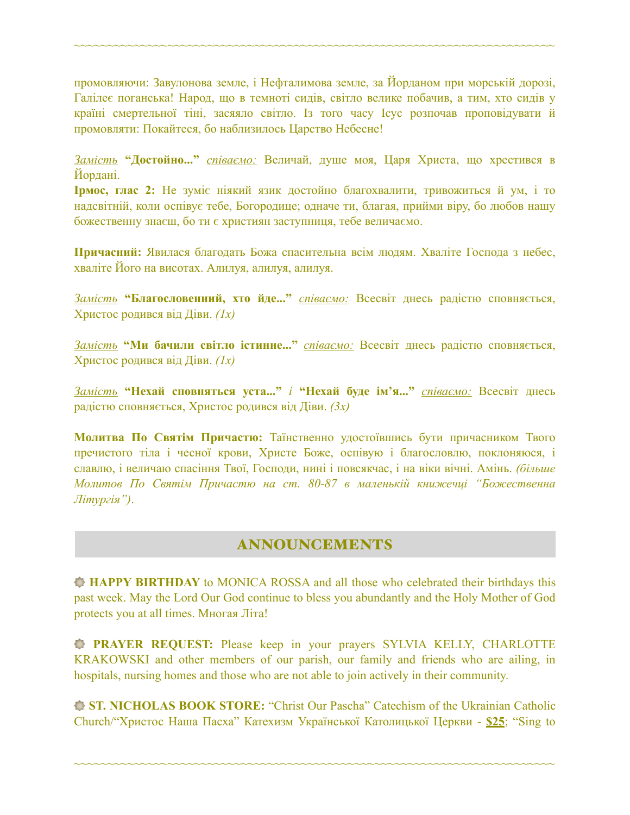промовляючи: Завулонова земле, і Нефталимова земле, за Йорданом при морській дорозі, Галілеє поганська! Народ, що в темноті сидів, світло велике побачив, а тим, хто сидів у країні смертельної тіні, засяяло світло. Із того часу Ісус розпочав проповідувати й промовляти: Покайтеся, бо наблизилось Царство Небесне!

~~~~~~~~~~~~~~~~~~~~~~~~~~~~~~~~~~~~~~~~~~~~~~~~~~~~~~~~~~~~~~~~~~~~~~~~

*Замість* **"Достойно..."** *співаємо:* Величай, душе моя, Царя Христа, що хрестився в Йордані.

**Ірмос, глас 2:** Не зуміє ніякий язик достойно благохвалити, тривожиться й ум, і то надсвітній, коли оспівує тебе, Богородице; одначе ти, благая, прийми віру, бо любов нашу божественну знаєш, бо ти є християн заступниця, тебе величаємо.

**Причасний:** Явилася благодать Божа спасительна всім людям. Хваліте Господа з небес, хваліте Його на висотах. Алилуя, алилуя, алилуя.

*Замість* **"Благословенний, хто йде..."** *співаємо:* Всесвіт днесь радістю сповняється, Христос родився від Діви. *(1х)* 

*Замість* **"Ми бачили світло істинне..."** *співаємо:* Всесвіт днесь радістю сповняється, Христос родився від Діви. *(1х)* 

*Замість* **"Нехай сповняться уста..."** *і* **"Нехай буде ім'я..."** *співаємо:* Всесвіт днесь радістю сповняється, Христос родився від Діви. *(3х)* 

**Молитва По Святім Причастю:** Таїнственно удостоївшись бути причасником Твого пречистого тіла і чесної крови, Христе Боже, оспівую і благословлю, поклоняюся, і славлю, і величаю спасіння Твої, Господи, нині і повсякчас, і на віки вічні. Амінь. *(більше Молитов По Святім Причастю на ст. 80-87 в маленькій книжечці "Божественна Літургія")*.

## ANNOUNCEMENTS

**HAPPY BIRTHDAY** to MONICA ROSSA and all those who celebrated their birthdays this past week. May the Lord Our God continue to bless you abundantly and the Holy Mother of God protects you at all times. Многая Літа!

**PRAYER REQUEST:** Please keep in your prayers SYLVIA KELLY, CHARLOTTE KRAKOWSKI and other members of our parish, our family and friends who are ailing, in hospitals, nursing homes and those who are not able to join actively in their community.

**ST. NICHOLAS BOOK STORE:** "Christ Our Pascha" Catechism of the Ukrainian Catholic Church/"Христос Наша Пасха" Катехизм Української Католицької Церкви - **\$25**; "Sing to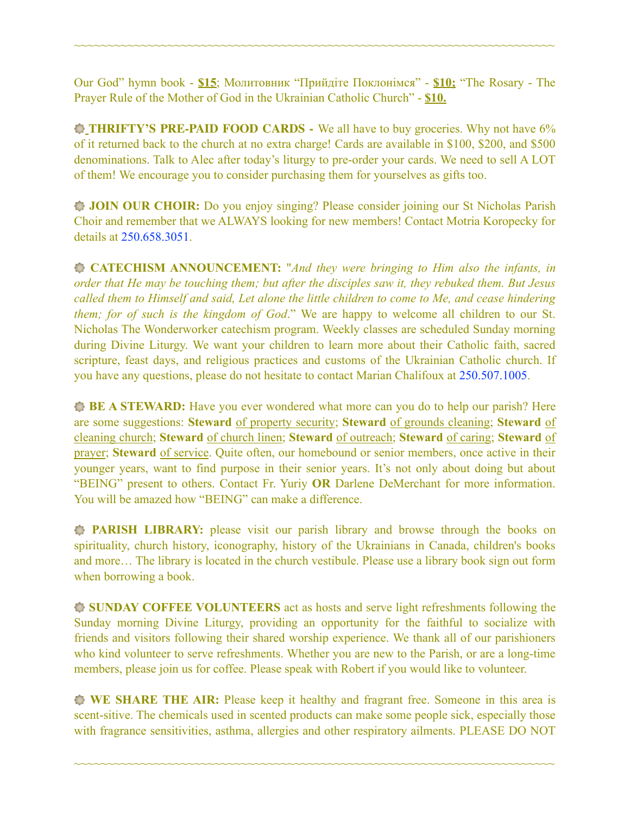Our God" hymn book - **\$15**; Молитовник "Прийдіте Поклонімся" - **\$10;** "The Rosary - The Prayer Rule of the Mother of God in the Ukrainian Catholic Church" - **\$10.** 

~~~~~~~~~~~~~~~~~~~~~~~~~~~~~~~~~~~~~~~~~~~~~~~~~~~~~~~~~~~~~~~~~~~~~~~~

**THRIFTY'S PRE-PAID FOOD CARDS** - We all have to buy groceries. Why not have 6% of it returned back to the church at no extra charge! Cards are available in \$100, \$200, and \$500 denominations. Talk to Alec after today's liturgy to pre-order your cards. We need to sell A LOT of them! We encourage you to consider purchasing them for yourselves as gifts too.

**JOIN OUR CHOIR:** Do you enjoy singing? Please consider joining our St Nicholas Parish Choir and remember that we ALWAYS looking for new members! Contact Motria Koropecky for details at 250.658.3051.

**CATECHISM ANNOUNCEMENT:** "*And they were bringing to Him also the infants, in order that He may be touching them; but after the disciples saw it, they rebuked them. But Jesus called them to Himself and said, Let alone the little children to come to Me, and cease hindering them; for of such is the kingdom of God*." We are happy to welcome all children to our St. Nicholas The Wonderworker catechism program. Weekly classes are scheduled Sunday morning during Divine Liturgy. We want your children to learn more about their Catholic faith, sacred scripture, feast days, and religious practices and customs of the Ukrainian Catholic church. If you have any questions, please do not hesitate to contact Marian Chalifoux at 250.507.1005.

**BE A STEWARD:** Have you ever wondered what more can you do to help our parish? Here are some suggestions: **Steward** of property security; **Steward** of grounds cleaning; **Steward** of cleaning church; **Steward** of church linen; **Steward** of outreach; **Steward** of caring; **Steward** of prayer; **Steward** of service. Quite often, our homebound or senior members, once active in their younger years, want to find purpose in their senior years. It's not only about doing but about "BEING" present to others. Contact Fr. Yuriy **OR** Darlene DeMerchant for more information. You will be amazed how "BEING" can make a difference.

**PARISH LIBRARY:** please visit our parish library and browse through the books on spirituality, church history, iconography, history of the Ukrainians in Canada, children's books and more… The library is located in the church vestibule. Please use a library book sign out form when borrowing a book.

**SUNDAY COFFEE VOLUNTEERS** act as hosts and serve light refreshments following the Sunday morning Divine Liturgy, providing an opportunity for the faithful to socialize with friends and visitors following their shared worship experience. We thank all of our parishioners who kind volunteer to serve refreshments. Whether you are new to the Parish, or are a long-time members, please join us for coffee. Please speak with Robert if you would like to volunteer.

**WE SHARE THE AIR:** Please keep it healthy and fragrant free. Someone in this area is scent-sitive. The chemicals used in scented products can make some people sick, especially those with fragrance sensitivities, asthma, allergies and other respiratory ailments. PLEASE DO NOT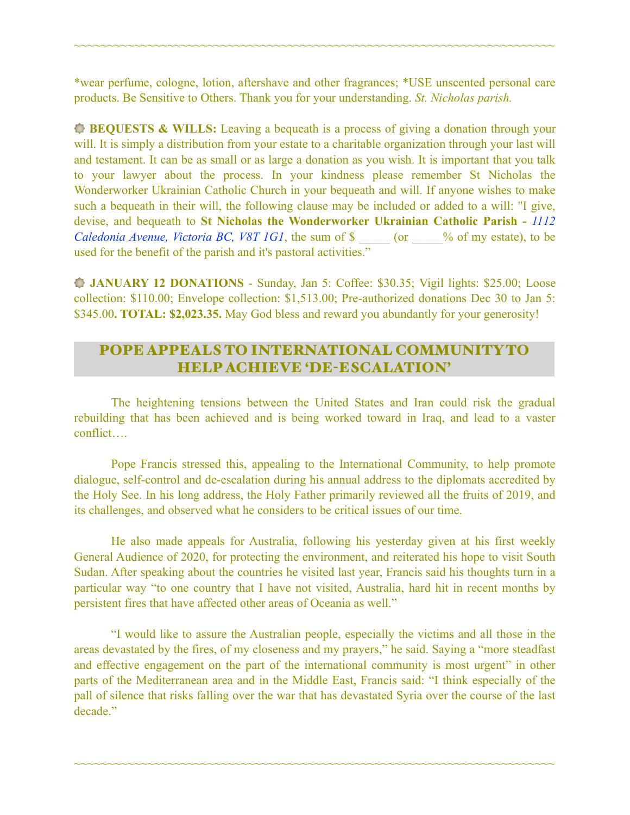\*wear perfume, cologne, lotion, aftershave and other fragrances; \*USE unscented personal care products. Be Sensitive to Others. Thank you for your understanding. *St. Nicholas parish.* 

~~~~~~~~~~~~~~~~~~~~~~~~~~~~~~~~~~~~~~~~~~~~~~~~~~~~~~~~~~~~~~~~~~~~~~~~

**BEQUESTS & WILLS:** Leaving a bequeath is a process of giving a donation through your will. It is simply a distribution from your estate to a charitable organization through your last will and testament. It can be as small or as large a donation as you wish. It is important that you talk to your lawyer about the process. In your kindness please remember St Nicholas the Wonderworker Ukrainian Catholic Church in your bequeath and will. If anyone wishes to make such a bequeath in their will, the following clause may be included or added to a will: "I give, devise, and bequeath to **St Nicholas the Wonderworker Ukrainian Catholic Parish -** *1112 Caledonia Avenue, Victoria BC, V8T 1G1*, the sum of \$ \_\_\_\_\_ (or \_\_\_\_\_% of my estate), to be used for the benefit of the parish and it's pastoral activities."

**JANUARY 12 DONATIONS** - Sunday, Jan 5: Coffee: \$30.35; Vigil lights: \$25.00; Loose collection: \$110.00; Envelope collection: \$1,513.00; Pre-authorized donations Dec 30 to Jan 5: \$345.00**. TOTAL: \$2,023.35.** May God bless and reward you abundantly for your generosity!

## POPE APPEALS TO INTERNATIONAL COMMUNITY TO HELP ACHIEVE 'DE-ESCALATION'

 The heightening tensions between the United States and Iran could risk the gradual rebuilding that has been achieved and is being worked toward in Iraq, and lead to a vaster conflict….

 Pope Francis stressed this, appealing to the International Community, to help promote dialogue, self-control and de-escalation during his annual address to the diplomats accredited by the Holy See. In his long address, the Holy Father primarily reviewed all the fruits of 2019, and its challenges, and observed what he considers to be critical issues of our time.

 He also made appeals for Australia, following his yesterday given at his first weekly General Audience of 2020, for protecting the environment, and reiterated his hope to visit South Sudan. After speaking about the countries he visited last year, Francis said his thoughts turn in a particular way "to one country that I have not visited, Australia, hard hit in recent months by persistent fires that have affected other areas of Oceania as well."

 "I would like to assure the Australian people, especially the victims and all those in the areas devastated by the fires, of my closeness and my prayers," he said. Saying a "more steadfast and effective engagement on the part of the international community is most urgent" in other parts of the Mediterranean area and in the Middle East, Francis said: "I think especially of the pall of silence that risks falling over the war that has devastated Syria over the course of the last decade."